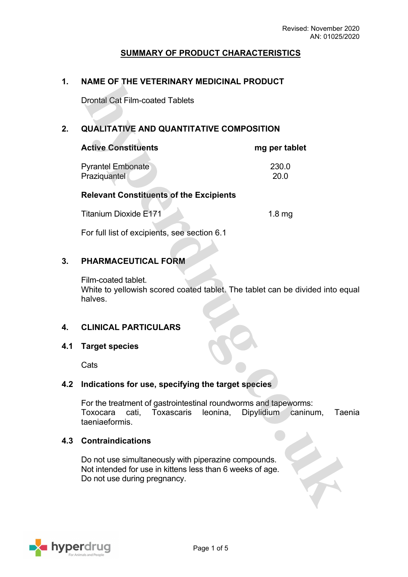### **SUMMARY OF PRODUCT CHARACTERISTICS**

### **1. NAME OF THE VETERINARY MEDICINAL PRODUCT**

Drontal Cat Film-coated Tablets

 $\mathcal{N}$ 

 $\sim$ 

### **2. QUALITATIVE AND QUANTITATIVE COMPOSITION**

| <b>Active Constituents</b>                     | mg per tablet |
|------------------------------------------------|---------------|
| <b>Pyrantel Embonate</b>                       | 230.0         |
| Praziquantel                                   | 20.0          |
| <b>Relevant Constituents of the Excipients</b> |               |

| 1.8 <sub>mg</sub> |  |
|-------------------|--|
|                   |  |
|                   |  |

For full list of excipients, see section 6.1

### **3. PHARMACEUTICAL FORM**

Film-coated tablet. White to yellowish scored coated tablet. The tablet can be divided into equal halves.

### **4. CLINICAL PARTICULARS**

#### **4.1 Target species**

**Cats** 

### **4.2 Indications for use, specifying the target species**

For the treatment of gastrointestinal roundworms and tapeworms: Toxocara cati, Toxascaris leonina, Dipylidium caninum, Taenia taeniaeformis.

### **4.3 Contraindications**

Do not use simultaneously with piperazine compounds. Not intended for use in kittens less than 6 weeks of age. Do not use during pregnancy.

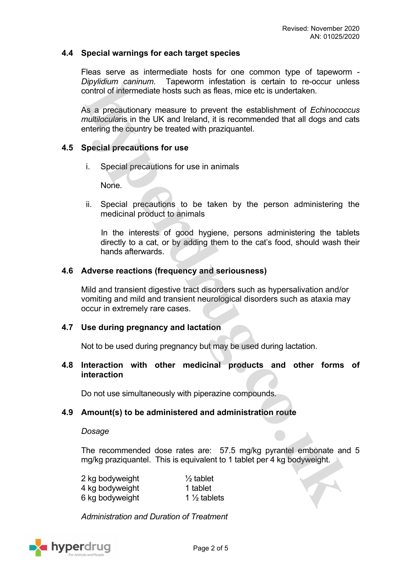### **4.4 Special warnings for each target species**

Fleas serve as intermediate hosts for one common type of tapeworm - *Dipylidium caninum*. Tapeworm infestation is certain to re-occur unless control of intermediate hosts such as fleas, mice etc is undertaken.

As a precautionary measure to prevent the establishment of *Echinococcus multilocula*ris in the UK and Ireland, it is recommended that all dogs and cats entering the country be treated with praziquantel.

### **4.5 Special precautions for use**

i. Special precautions for use in animals

None.

ii. Special precautions to be taken by the person administering the medicinal product to animals

In the interests of good hygiene, persons administering the tablets directly to a cat, or by adding them to the cat's food, should wash their hands afterwards.

### **4.6 Adverse reactions (frequency and seriousness)**

Mild and transient digestive tract disorders such as hypersalivation and/or vomiting and mild and transient neurological disorders such as ataxia may occur in extremely rare cases.

#### **4.7 Use during pregnancy and lactation**

Not to be used during pregnancy but may be used during lactation.

### **4.8 Interaction with other medicinal products and other forms of interaction**

Do not use simultaneously with piperazine compounds.

### **4.9 Amount(s) to be administered and administration route**

#### *Dosage*

The recommended dose rates are: 57.5 mg/kg pyrantel embonate and 5 mg/kg praziquantel. This is equivalent to 1 tablet per 4 kg bodyweight.

| 2 kg bodyweight | $\frac{1}{2}$ tablet    |
|-----------------|-------------------------|
| 4 kg bodyweight | 1 tablet                |
| 6 kg bodyweight | 1 $\frac{1}{2}$ tablets |

*Administration and Duration of Treatment*

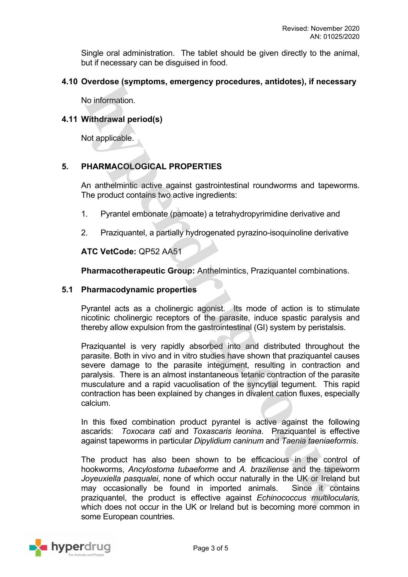Single oral administration. The tablet should be given directly to the animal, but if necessary can be disguised in food.

### **4.10 Overdose (symptoms, emergency procedures, antidotes), if necessary**

No information.

### **4.11 Withdrawal period(s)**

Not applicable.

## **5. PHARMACOLOGICAL PROPERTIES**

An anthelmintic active against gastrointestinal roundworms and tapeworms. The product contains two active ingredients:

- 1. Pyrantel embonate (pamoate) a tetrahydropyrimidine derivative and
- 2. Praziquantel, a partially hydrogenated pyrazino-isoquinoline derivative

### **ATC VetCode:** QP52 AA51

**Pharmacotherapeutic Group:** Anthelmintics, Praziquantel combinations.

### **5.1 Pharmacodynamic properties**

Pyrantel acts as a cholinergic agonist. Its mode of action is to stimulate nicotinic cholinergic receptors of the parasite, induce spastic paralysis and thereby allow expulsion from the gastrointestinal (GI) system by peristalsis.

Praziquantel is very rapidly absorbed into and distributed throughout the parasite. Both in vivo and in vitro studies have shown that praziquantel causes severe damage to the parasite integument, resulting in contraction and paralysis. There is an almost instantaneous tetanic contraction of the parasite musculature and a rapid vacuolisation of the syncytial tegument. This rapid contraction has been explained by changes in divalent cation fluxes, especially calcium.

In this fixed combination product pyrantel is active against the following ascarids: *Toxocara cati* and *Toxascaris leonina*. Praziquantel is effective against tapeworms in particular *Dipylidium caninum* and *Taenia taeniaeformis*.

The product has also been shown to be efficacious in the control of hookworms, *Ancylostoma tubaeforme* and *A. braziliense* and the tapeworm *Joyeuxiella pasqualei*, none of which occur naturally in the UK or Ireland but may occasionally be found in imported animals. Since it contains praziquantel, the product is effective against *Echinococcus multilocularis,*  which does not occur in the UK or Ireland but is becoming more common in some European countries.

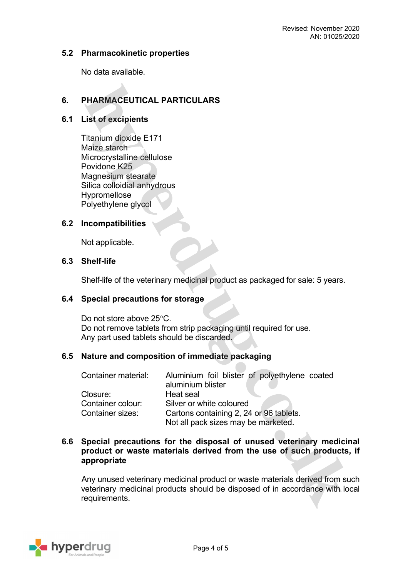### **5.2 Pharmacokinetic properties**

No data available.

# **6. PHARMACEUTICAL PARTICULARS**

### **6.1 List of excipients**

Titanium dioxide E171 Maize starch Microcrystalline cellulose Povidone K25 Magnesium stearate Silica colloidial anhydrous Hypromellose Polyethylene glycol

### **6.2 Incompatibilities**

Not applicable.

### **6.3 Shelf-life**

Shelf-life of the veterinary medicinal product as packaged for sale: 5 years.

#### **6.4 Special precautions for storage**

Do not store above 25°C. Do not remove tablets from strip packaging until required for use. Any part used tablets should be discarded.

### **6.5 Nature and composition of immediate packaging**

| Container material:     | Aluminium foil blister of polyethylene coated |  |
|-------------------------|-----------------------------------------------|--|
|                         | aluminium blister                             |  |
| Closure:                | Heat seal                                     |  |
| Container colour:       | Silver or white coloured                      |  |
| <b>Container sizes:</b> | Cartons containing 2, 24 or 96 tablets.       |  |
|                         | Not all pack sizes may be marketed.           |  |

### **6.6 Special precautions for the disposal of unused veterinary medicinal product or waste materials derived from the use of such products, if appropriate**

Any unused veterinary medicinal product or waste materials derived from such veterinary medicinal products should be disposed of in accordance with local requirements.